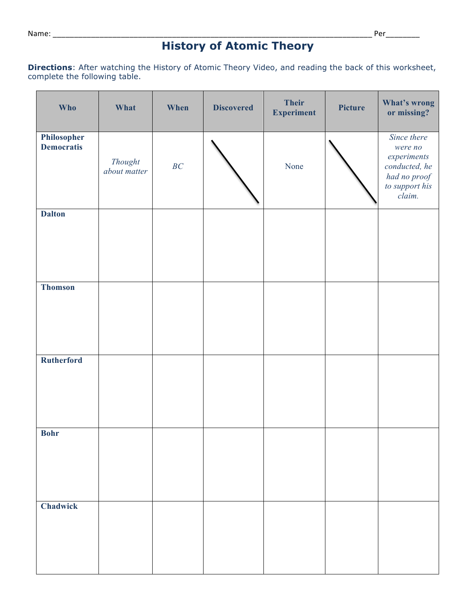# **History of Atomic Theory**

**Directions**: After watching the History of Atomic Theory Video, and reading the back of this worksheet, complete the following table.

| Who                              | What                    | When | <b>Discovered</b> | <b>Their</b><br><b>Experiment</b> | Picture | What's wrong<br>or missing?                                                                        |
|----------------------------------|-------------------------|------|-------------------|-----------------------------------|---------|----------------------------------------------------------------------------------------------------|
| Philosopher<br><b>Democratis</b> | Thought<br>about matter | BC   |                   | None                              |         | Since there<br>were no<br>experiments<br>conducted, he<br>had no proof<br>to support his<br>claim. |
| <b>Dalton</b>                    |                         |      |                   |                                   |         |                                                                                                    |
| <b>Thomson</b>                   |                         |      |                   |                                   |         |                                                                                                    |
| Rutherford                       |                         |      |                   |                                   |         |                                                                                                    |
| <b>Bohr</b>                      |                         |      |                   |                                   |         |                                                                                                    |
| Chadwick                         |                         |      |                   |                                   |         |                                                                                                    |